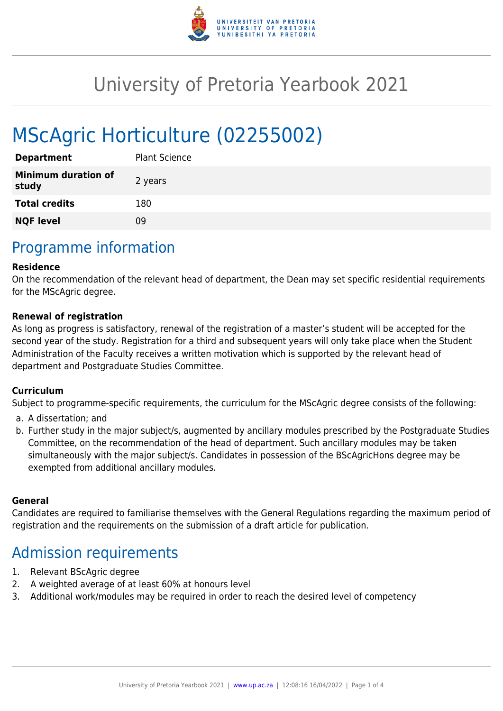

# University of Pretoria Yearbook 2021

# MScAgric Horticulture (02255002)

| <b>Department</b>                   | <b>Plant Science</b> |
|-------------------------------------|----------------------|
| <b>Minimum duration of</b><br>study | 2 years              |
| <b>Total credits</b>                | 180                  |
| <b>NQF level</b>                    | ng                   |

### Programme information

#### **Residence**

On the recommendation of the relevant head of department, the Dean may set specific residential requirements for the MScAgric degree.

#### **Renewal of registration**

As long as progress is satisfactory, renewal of the registration of a master's student will be accepted for the second year of the study. Registration for a third and subsequent years will only take place when the Student Administration of the Faculty receives a written motivation which is supported by the relevant head of department and Postgraduate Studies Committee.

#### **Curriculum**

Subject to programme-specific requirements, the curriculum for the MScAgric degree consists of the following:

- a. A dissertation; and
- b. Further study in the major subject/s, augmented by ancillary modules prescribed by the Postgraduate Studies Committee, on the recommendation of the head of department. Such ancillary modules may be taken simultaneously with the major subject/s. Candidates in possession of the BScAgricHons degree may be exempted from additional ancillary modules.

#### **General**

Candidates are required to familiarise themselves with the General Regulations regarding the maximum period of registration and the requirements on the submission of a draft article for publication.

### Admission requirements

- 1. Relevant BScAgric degree
- 2. A weighted average of at least 60% at honours level
- 3. Additional work/modules may be required in order to reach the desired level of competency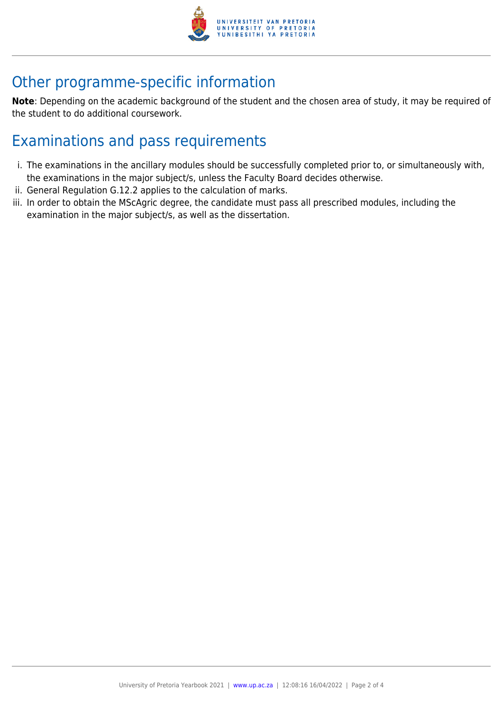

## Other programme-specific information

**Note**: Depending on the academic background of the student and the chosen area of study, it may be required of the student to do additional coursework.

## Examinations and pass requirements

- i. The examinations in the ancillary modules should be successfully completed prior to, or simultaneously with, the examinations in the major subject/s, unless the Faculty Board decides otherwise.
- ii. General Regulation G.12.2 applies to the calculation of marks.
- iii. In order to obtain the MScAgric degree, the candidate must pass all prescribed modules, including the examination in the major subject/s, as well as the dissertation.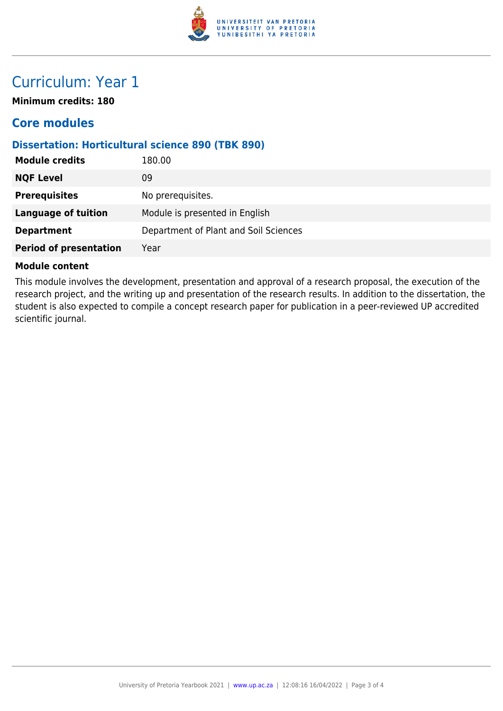

### Curriculum: Year 1

**Minimum credits: 180**

### **Core modules**

### **Dissertation: Horticultural science 890 (TBK 890)**

| <b>Module credits</b>         | 180.00                                |
|-------------------------------|---------------------------------------|
| <b>NQF Level</b>              | 09                                    |
| <b>Prerequisites</b>          | No prerequisites.                     |
| <b>Language of tuition</b>    | Module is presented in English        |
| <b>Department</b>             | Department of Plant and Soil Sciences |
| <b>Period of presentation</b> | Year                                  |

#### **Module content**

This module involves the development, presentation and approval of a research proposal, the execution of the research project, and the writing up and presentation of the research results. In addition to the dissertation, the student is also expected to compile a concept research paper for publication in a peer-reviewed UP accredited scientific journal.